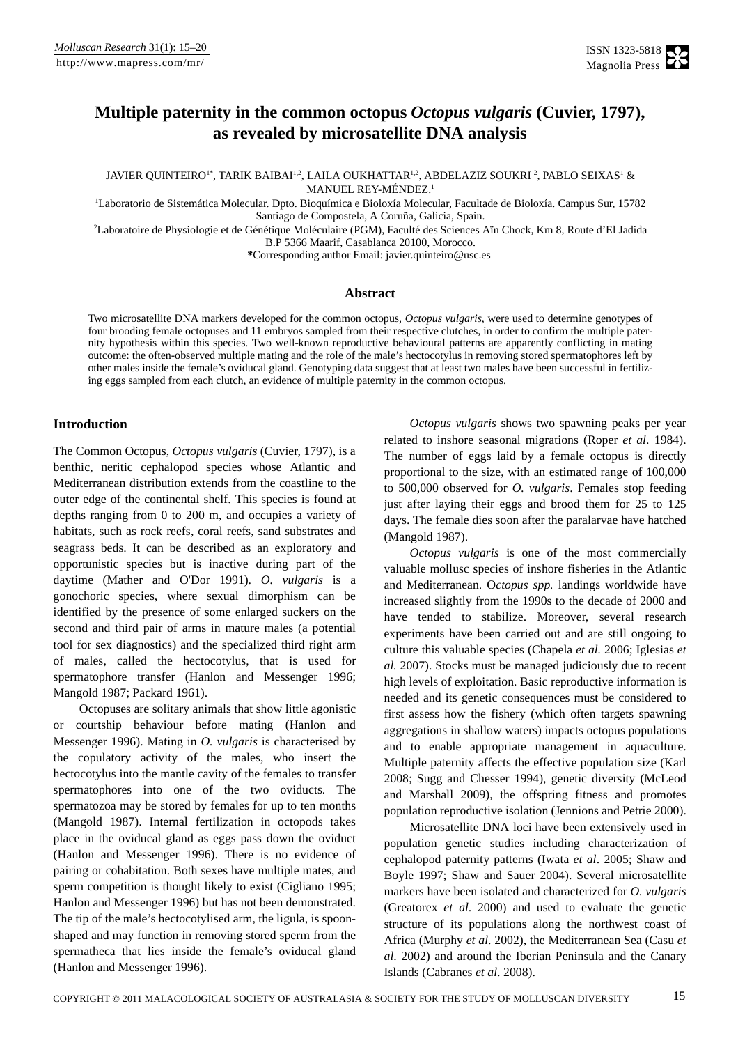# **Multiple paternity in the common octopus** *Octopus vulgaris* **(Cuvier, 1797), as revealed by microsatellite DNA analysis**

JAVIER QUINTEIRO' $^{\text{!}},$  TARIK BAIBAI'<sup>.2</sup>, LAILA OUKHATTAR'<sup>.2</sup>, ABDELAZIZ SOUKRI  $^{\text{!}},$  PABLO SEIXAS'  $\&$ MANUEL REY-MÉNDEZ.<sup>1</sup>

1 Laboratorio de Sistemática Molecular. Dpto. Bioquímica e Bioloxía Molecular, Facultade de Bioloxía. Campus Sur, 15782 Santiago de Compostela, A Coruña, Galicia, Spain.

2 Laboratoire de Physiologie et de Génétique Moléculaire (PGM), Faculté des Sciences Aïn Chock, Km 8, Route d'El Jadida B.P 5366 Maarif, Casablanca 20100, Morocco.

**\***Corresponding author Email: [javier.quinteiro@usc.es](mailto:javier.quinteiro@usc.es) 

### **Abstract**

Two microsatellite DNA markers developed for the common octopus, *Octopus vulgaris*, were used to determine genotypes of four brooding female octopuses and 11 embryos sampled from their respective clutches, in order to confirm the multiple paternity hypothesis within this species. Two well-known reproductive behavioural patterns are apparently conflicting in mating outcome: the often-observed multiple mating and the role of the male's hectocotylus in removing stored spermatophores left by other males inside the female's oviducal gland. Genotyping data suggest that at least two males have been successful in fertilizing eggs sampled from each clutch, an evidence of multiple paternity in the common octopus.

## **Introduction**

The Common Octopus, *Octopus vulgaris* (Cuvier, 1797), is a benthic, neritic cephalopod species whose Atlantic and Mediterranean distribution extends from the coastline to the outer edge of the continental shelf. This species is found at depths ranging from 0 to 200 m, and occupies a variety of habitats, such as rock reefs, coral reefs, sand substrates and seagrass beds. It can be described as an exploratory and opportunistic species but is inactive during part of the daytime (Mather and O'Dor 1991). *O. vulgaris* is a gonochoric species, where sexual dimorphism can be identified by the presence of some enlarged suckers on the second and third pair of arms in mature males (a potential tool for sex diagnostics) and the specialized third right arm of males, called the hectocotylus, that is used for spermatophore transfer (Hanlon and Messenger 1996; Mangold 1987; Packard 1961).

Octopuses are solitary animals that show little agonistic or courtship behaviour before mating (Hanlon and Messenger 1996). Mating in *O. vulgaris* is characterised by the copulatory activity of the males, who insert the hectocotylus into the mantle cavity of the females to transfer spermatophores into one of the two oviducts. The spermatozoa may be stored by females for up to ten months (Mangold 1987). Internal fertilization in octopods takes place in the oviducal gland as eggs pass down the oviduct (Hanlon and Messenger 1996). There is no evidence of pairing or cohabitation. Both sexes have multiple mates, and sperm competition is thought likely to exist (Cigliano 1995; Hanlon and Messenger 1996) but has not been demonstrated. The tip of the male's hectocotylised arm, the ligula, is spoonshaped and may function in removing stored sperm from the spermatheca that lies inside the female's oviducal gland (Hanlon and Messenger 1996).

*Octopus vulgaris* shows two spawning peaks per year related to inshore seasonal migrations (Roper *et al*. 1984). The number of eggs laid by a female octopus is directly proportional to the size, with an estimated range of 100,000 to 500,000 observed for *O. vulgaris*. Females stop feeding just after laying their eggs and brood them for 25 to 125 days. The female dies soon after the paralarvae have hatched (Mangold 1987).

*Octopus vulgaris* is one of the most commercially valuable mollusc species of inshore fisheries in the Atlantic and Mediterranean. O*ctopus spp.* landings worldwide have increased slightly from the 1990s to the decade of 2000 and have tended to stabilize. Moreover, several research experiments have been carried out and are still ongoing to culture this valuable species (Chapela *et al.* 2006; Iglesias *et al.* 2007). Stocks must be managed judiciously due to recent high levels of exploitation. Basic reproductive information is needed and its genetic consequences must be considered to first assess how the fishery (which often targets spawning aggregations in shallow waters) impacts octopus populations and to enable appropriate management in aquaculture. Multiple paternity affects the effective population size (Karl 2008; Sugg and Chesser 1994), genetic diversity (McLeod and Marshall 2009), the offspring fitness and promotes population reproductive isolation (Jennions and Petrie 2000).

Microsatellite DNA loci have been extensively used in population genetic studies including characterization of cephalopod paternity patterns (Iwata *et al*. 2005; Shaw and Boyle 1997; Shaw and Sauer 2004). Several microsatellite markers have been isolated and characterized for *O. vulgaris* (Greatorex *et al*. 2000) and used to evaluate the genetic structure of its populations along the northwest coast of Africa (Murphy *et al*. 2002), the Mediterranean Sea (Casu *et al*. 2002) and around the Iberian Peninsula and the Canary Islands (Cabranes *et al*. 2008).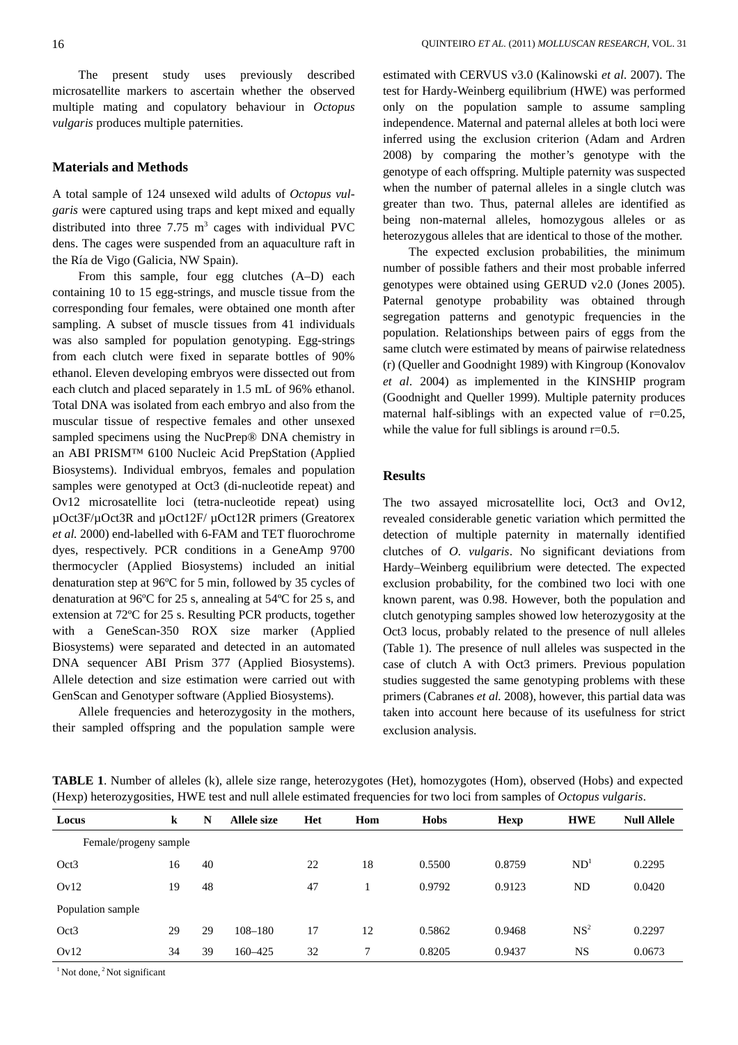The present study uses previously described microsatellite markers to ascertain whether the observed multiple mating and copulatory behaviour in *Octopus vulgaris* produces multiple paternities.

#### **Materials and Methods**

A total sample of 124 unsexed wild adults of *Octopus vulgaris* were captured using traps and kept mixed and equally distributed into three  $7.75 \text{ m}^3$  cages with individual PVC dens. The cages were suspended from an aquaculture raft in the Ría de Vigo (Galicia, NW Spain).

From this sample, four egg clutches (A–D) each containing 10 to 15 egg-strings, and muscle tissue from the corresponding four females, were obtained one month after sampling. A subset of muscle tissues from 41 individuals was also sampled for population genotyping. Egg-strings from each clutch were fixed in separate bottles of 90% ethanol. Eleven developing embryos were dissected out from each clutch and placed separately in 1.5 mL of 96% ethanol. Total DNA was isolated from each embryo and also from the muscular tissue of respective females and other unsexed sampled specimens using the NucPrep® DNA chemistry in an ABI PRISM™ 6100 Nucleic Acid PrepStation (Applied Biosystems). Individual embryos, females and population samples were genotyped at Oct3 (di-nucleotide repeat) and Ov12 microsatellite loci (tetra-nucleotide repeat) using µOct3F/µOct3R and µOct12F/ µOct12R primers (Greatorex *et al.* 2000) end-labelled with 6-FAM and TET fluorochrome dyes, respectively. PCR conditions in a GeneAmp 9700 thermocycler (Applied Biosystems) included an initial denaturation step at 96ºC for 5 min, followed by 35 cycles of denaturation at 96ºC for 25 s, annealing at 54ºC for 25 s, and extension at 72ºC for 25 s. Resulting PCR products, together with a GeneScan-350 ROX size marker (Applied Biosystems) were separated and detected in an automated DNA sequencer ABI Prism 377 (Applied Biosystems). Allele detection and size estimation were carried out with GenScan and Genotyper software (Applied Biosystems).

Allele frequencies and heterozygosity in the mothers, their sampled offspring and the population sample were estimated with CERVUS v3.0 (Kalinowski *et al*. 2007). The test for Hardy-Weinberg equilibrium (HWE) was performed only on the population sample to assume sampling independence. Maternal and paternal alleles at both loci were inferred using the exclusion criterion (Adam and Ardren 2008) by comparing the mother's genotype with the genotype of each offspring. Multiple paternity was suspected when the number of paternal alleles in a single clutch was greater than two. Thus, paternal alleles are identified as being non-maternal alleles, homozygous alleles or as heterozygous alleles that are identical to those of the mother.

The expected exclusion probabilities, the minimum number of possible fathers and their most probable inferred genotypes were obtained using GERUD v2.0 (Jones 2005). Paternal genotype probability was obtained through segregation patterns and genotypic frequencies in the population. Relationships between pairs of eggs from the same clutch were estimated by means of pairwise relatedness (r) (Queller and Goodnight 1989) with Kingroup (Konovalov *et al*. 2004) as implemented in the KINSHIP program (Goodnight and Queller 1999). Multiple paternity produces maternal half-siblings with an expected value of  $r=0.25$ , while the value for full siblings is around  $r=0.5$ .

### **Results**

The two assayed microsatellite loci, Oct3 and Ov12, revealed considerable genetic variation which permitted the detection of multiple paternity in maternally identified clutches of *O. vulgaris*. No significant deviations from Hardy–Weinberg equilibrium were detected. The expected exclusion probability, for the combined two loci with one known parent, was 0.98. However, both the population and clutch genotyping samples showed low heterozygosity at the Oct3 locus, probably related to the presence of null alleles (Table 1). The presence of null alleles was suspected in the case of clutch A with Oct3 primers. Previous population studies suggested the same genotyping problems with these primers (Cabranes *et al.* 2008), however, this partial data was taken into account here because of its usefulness for strict exclusion analysis.

**TABLE 1**. Number of alleles (k), allele size range, heterozygotes (Het), homozygotes (Hom), observed (Hobs) and expected (Hexp) heterozygosities, HWE test and null allele estimated frequencies for two loci from samples of *Octopus vulgaris*.

| Locus                 | k  | N  | Allele size | Het | Hom | <b>Hobs</b> | <b>Hexp</b> | <b>HWE</b>      | <b>Null Allele</b> |
|-----------------------|----|----|-------------|-----|-----|-------------|-------------|-----------------|--------------------|
| Female/progeny sample |    |    |             |     |     |             |             |                 |                    |
| Oct3                  | 16 | 40 |             | 22  | 18  | 0.5500      | 0.8759      | ND <sup>1</sup> | 0.2295             |
| Ov12                  | 19 | 48 |             | 47  |     | 0.9792      | 0.9123      | ND              | 0.0420             |
| Population sample     |    |    |             |     |     |             |             |                 |                    |
| Oct3                  | 29 | 29 | $108 - 180$ | 17  | 12  | 0.5862      | 0.9468      | NS <sup>2</sup> | 0.2297             |
| Ov12                  | 34 | 39 | 160-425     | 32  | 7   | 0.8205      | 0.9437      | NS              | 0.0673             |

 $<sup>1</sup>$  Not done,  $<sup>2</sup>$  Not significant</sup></sup>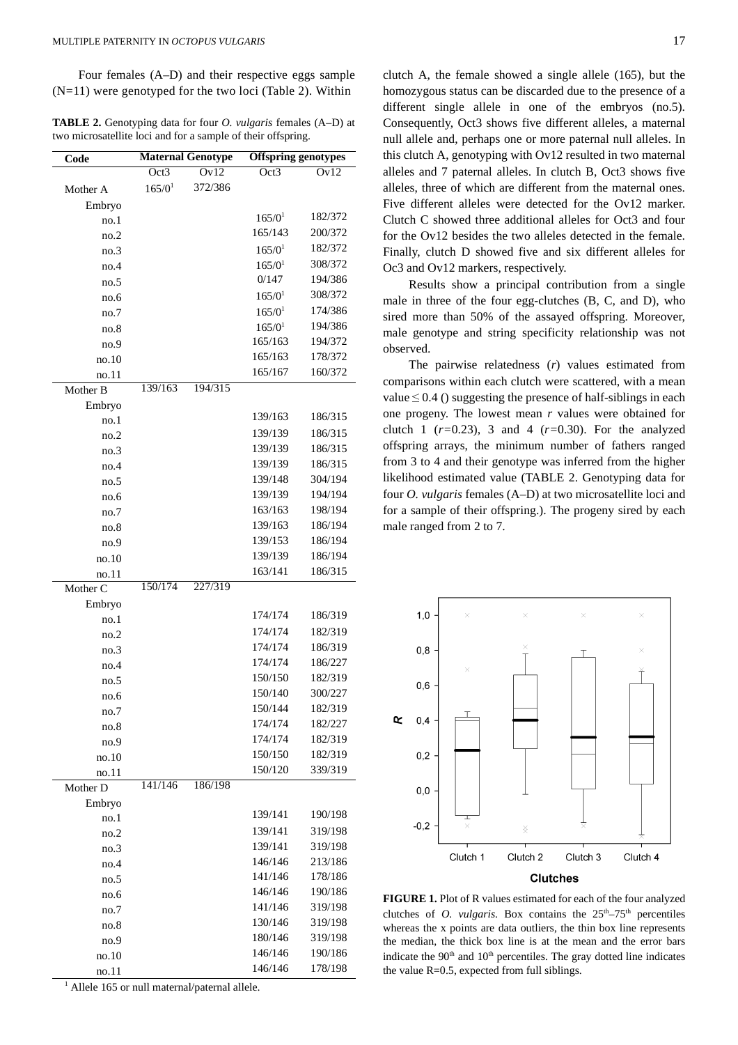Four females (A–D) and their respective eggs sample  $(N=11)$  were genotyped for the two loci (Table 2). Within

**TABLE 2.** Genotyping data for four *O. vulgaris* females (A–D) at two microsatellite loci and for a sample of their offspring.

| Code     |             | <b>Maternal Genotype</b> | <b>Offspring genotypes</b> |         |  |  |
|----------|-------------|--------------------------|----------------------------|---------|--|--|
|          | Oct3        | Ov12                     | Oct3                       | Ov12    |  |  |
| Mother A | $165/0^{1}$ | 372/386                  |                            |         |  |  |
| Embryo   |             |                          |                            |         |  |  |
| no.1     |             |                          | 165/0 <sup>1</sup>         | 182/372 |  |  |
| no.2     |             |                          | 165/143                    | 200/372 |  |  |
| no.3     |             |                          | 165/0 <sup>1</sup>         | 182/372 |  |  |
| no.4     |             |                          | 165/0 <sup>1</sup>         | 308/372 |  |  |
| no.5     |             |                          | 0/147                      | 194/386 |  |  |
| no.6     |             |                          | $165/0^{1}$                | 308/372 |  |  |
| no.7     |             |                          | $165/0^{1}$                | 174/386 |  |  |
| no.8     |             |                          | 165/0 <sup>1</sup>         | 194/386 |  |  |
| no.9     |             |                          | 165/163                    | 194/372 |  |  |
| no.10    |             |                          | 165/163                    | 178/372 |  |  |
| no.11    |             |                          | 165/167                    | 160/372 |  |  |
| Mother B | 139/163     | 194/315                  |                            |         |  |  |
| Embryo   |             |                          |                            |         |  |  |
| no.1     |             |                          | 139/163                    | 186/315 |  |  |
| no.2     |             |                          | 139/139                    | 186/315 |  |  |
| no.3     |             |                          | 139/139                    | 186/315 |  |  |
| no.4     |             |                          | 139/139                    | 186/315 |  |  |
| no.5     |             |                          | 139/148                    | 304/194 |  |  |
| no.6     |             |                          | 139/139                    | 194/194 |  |  |
| no.7     |             |                          | 163/163                    | 198/194 |  |  |
| no.8     |             |                          | 139/163                    | 186/194 |  |  |
| no.9     |             |                          | 139/153                    | 186/194 |  |  |
| no.10    |             |                          | 139/139                    | 186/194 |  |  |
| no.11    |             |                          | 163/141                    | 186/315 |  |  |
| Mother C | 150/174     | 227/319                  |                            |         |  |  |
| Embryo   |             |                          |                            |         |  |  |
| no.1     |             |                          | 174/174                    | 186/319 |  |  |
| no.2     |             |                          | 174/174                    | 182/319 |  |  |
| no.3     |             |                          | 174/174                    | 186/319 |  |  |
| no.4     |             |                          | 174/174                    | 186/227 |  |  |
| no.5     |             |                          | 150/150                    | 182/319 |  |  |
| no.6     |             |                          | 150/140                    | 300/227 |  |  |
| no.7     |             |                          | 150/144                    | 182/319 |  |  |
| no.8     |             |                          | 174/174                    | 182/227 |  |  |
| no.9     |             |                          | 174/174                    | 182/319 |  |  |
| no.10    |             |                          | 150/150                    | 182/319 |  |  |
| no.11    |             |                          | 150/120                    | 339/319 |  |  |
| Mother D | 141/146     | 186/198                  |                            |         |  |  |
| Embryo   |             |                          |                            |         |  |  |
| no.1     |             |                          | 139/141                    | 190/198 |  |  |
| no.2     |             |                          | 139/141                    | 319/198 |  |  |
| no.3     |             |                          | 139/141                    | 319/198 |  |  |
| no.4     |             |                          | 146/146                    | 213/186 |  |  |
| no.5     |             |                          | 141/146                    | 178/186 |  |  |
| no.6     |             |                          | 146/146                    | 190/186 |  |  |
| no.7     |             |                          | 141/146                    | 319/198 |  |  |
| no.8     |             |                          | 130/146                    | 319/198 |  |  |
| no.9     |             |                          | 180/146                    | 319/198 |  |  |
| no.10    |             |                          | 146/146                    | 190/186 |  |  |
| no.11    |             |                          | 146/146                    | 178/198 |  |  |

<sup>1</sup> Allele 165 or null maternal/paternal allele.

clutch A, the female showed a single allele (165), but the homozygous status can be discarded due to the presence of a different single allele in one of the embryos (no.5). Consequently, Oct3 shows five different alleles, a maternal null allele and, perhaps one or more paternal null alleles. In this clutch A, genotyping with Ov12 resulted in two maternal alleles and 7 paternal alleles. In clutch B, Oct3 shows five alleles, three of which are different from the maternal ones. Five different alleles were detected for the Ov12 marker. Clutch C showed three additional alleles for Oct3 and four for the Ov12 besides the two alleles detected in the female. Finally, clutch D showed five and six different alleles for Oc3 and Ov12 markers, respectively.

Results show a principal contribution from a single male in three of the four egg-clutches (B, C, and D), who sired more than 50% of the assayed offspring. Moreover, male genotype and string specificity relationship was not observed.

The pairwise relatedness (*r*) values estimated from comparisons within each clutch were scattered, with a mean value  $\leq 0.4$  () suggesting the presence of half-siblings in each one progeny. The lowest mean *r* values were obtained for clutch 1 (*r=*0.23), 3 and 4 (*r=*0.30). For the analyzed offspring arrays, the minimum number of fathers ranged from 3 to 4 and their genotype was inferred from the higher likelihood estimated value (TABLE 2. Genotyping data for four *O. vulgaris* females (A–D) at two microsatellite loci and for a sample of their offspring.). The progeny sired by each male ranged from 2 to 7.



**FIGURE 1.** Plot of R values estimated for each of the four analyzed clutches of *O. vulgaris*. Box contains the  $25<sup>th</sup> - 75<sup>th</sup>$  percentiles whereas the x points are data outliers, the thin box line represents the median, the thick box line is at the mean and the error bars indicate the  $90<sup>th</sup>$  and  $10<sup>th</sup>$  percentiles. The gray dotted line indicates the value R=0.5, expected from full siblings.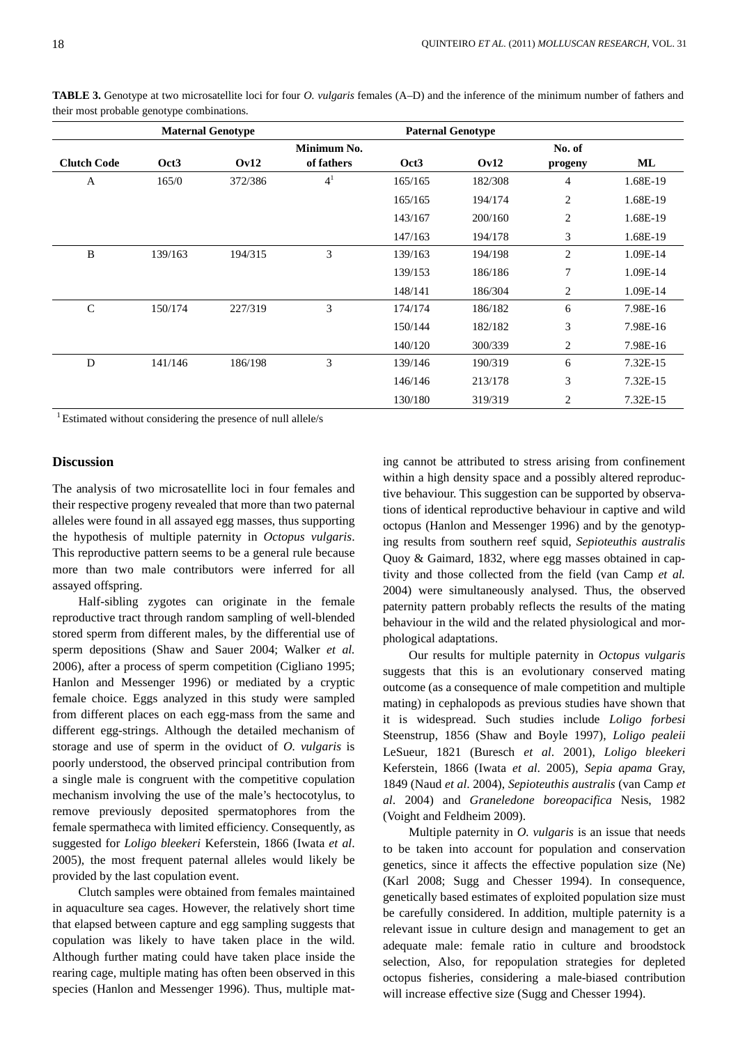|                    |                  | <b>Maternal Genotype</b> |                |         | <b>Paternal Genotype</b> |                |          |
|--------------------|------------------|--------------------------|----------------|---------|--------------------------|----------------|----------|
|                    |                  |                          | Minimum No.    |         |                          | No. of         |          |
| <b>Clutch Code</b> | Oct <sub>3</sub> | Ov12                     | of fathers     | Oct3    | Ov12                     | progeny        | ML       |
| A                  | 165/0            | 372/386                  | 4 <sup>1</sup> | 165/165 | 182/308                  | 4              | 1.68E-19 |
|                    |                  |                          |                | 165/165 | 194/174                  | $\overline{c}$ | 1.68E-19 |
|                    |                  |                          |                | 143/167 | 200/160                  | $\overline{c}$ | 1.68E-19 |
|                    |                  |                          |                | 147/163 | 194/178                  | 3              | 1.68E-19 |
| B                  | 139/163          | 194/315                  | 3              | 139/163 | 194/198                  | $\overline{c}$ | 1.09E-14 |
|                    |                  |                          |                | 139/153 | 186/186                  | 7              | 1.09E-14 |
|                    |                  |                          |                | 148/141 | 186/304                  | 2              | 1.09E-14 |
| $\mathcal{C}$      | 150/174          | 227/319                  | 3              | 174/174 | 186/182                  | 6              | 7.98E-16 |
|                    |                  |                          |                | 150/144 | 182/182                  | 3              | 7.98E-16 |
|                    |                  |                          |                | 140/120 | 300/339                  | 2              | 7.98E-16 |
| D                  | 141/146          | 186/198                  | 3              | 139/146 | 190/319                  | 6              | 7.32E-15 |
|                    |                  |                          |                | 146/146 | 213/178                  | 3              | 7.32E-15 |
|                    |                  |                          |                | 130/180 | 319/319                  | 2              | 7.32E-15 |

**TABLE 3.** Genotype at two microsatellite loci for four *O. vulgaris* females (A–D) and the inference of the minimum number of fathers and their most probable genotype combinations.

<sup>1</sup> Estimated without considering the presence of null allele/s

## **Discussion**

The analysis of two microsatellite loci in four females and their respective progeny revealed that more than two paternal alleles were found in all assayed egg masses, thus supporting the hypothesis of multiple paternity in *Octopus vulgaris*. This reproductive pattern seems to be a general rule because more than two male contributors were inferred for all assayed offspring.

Half-sibling zygotes can originate in the female reproductive tract through random sampling of well-blended stored sperm from different males, by the differential use of sperm depositions (Shaw and Sauer 2004; Walker *et al.* 2006), after a process of sperm competition (Cigliano 1995; Hanlon and Messenger 1996) or mediated by a cryptic female choice. Eggs analyzed in this study were sampled from different places on each egg-mass from the same and different egg-strings. Although the detailed mechanism of storage and use of sperm in the oviduct of *O. vulgaris* is poorly understood, the observed principal contribution from a single male is congruent with the competitive copulation mechanism involving the use of the male's hectocotylus, to remove previously deposited spermatophores from the female spermatheca with limited efficiency. Consequently, as suggested for *Loligo bleekeri* Keferstein, 1866 (Iwata *et al*. 2005), the most frequent paternal alleles would likely be provided by the last copulation event.

Clutch samples were obtained from females maintained in aquaculture sea cages. However, the relatively short time that elapsed between capture and egg sampling suggests that copulation was likely to have taken place in the wild. Although further mating could have taken place inside the rearing cage, multiple mating has often been observed in this species (Hanlon and Messenger 1996). Thus, multiple mating cannot be attributed to stress arising from confinement within a high density space and a possibly altered reproductive behaviour. This suggestion can be supported by observations of identical reproductive behaviour in captive and wild octopus (Hanlon and Messenger 1996) and by the genotyping results from southern reef squid, *Sepioteuthis australis* Quoy & Gaimard, 1832, where egg masses obtained in captivity and those collected from the field (van Camp *et al.* 2004) were simultaneously analysed. Thus, the observed paternity pattern probably reflects the results of the mating behaviour in the wild and the related physiological and morphological adaptations.

Our results for multiple paternity in *Octopus vulgaris*  suggests that this is an evolutionary conserved mating outcome (as a consequence of male competition and multiple mating) in cephalopods as previous studies have shown that it is widespread. Such studies include *Loligo forbesi* Steenstrup, 1856 (Shaw and Boyle 1997), *Loligo pealeii* LeSueur, 1821 (Buresch *et al*. 2001), *Loligo bleekeri* Keferstein, 1866 (Iwata *et al*. 2005), *Sepia apama* Gray, 1849 (Naud *et al*. 2004), *Sepioteuthis australis* (van Camp *et al*. 2004) and *Graneledone boreopacifica* Nesis, 1982 (Voight and Feldheim 2009).

Multiple paternity in *O. vulgaris* is an issue that needs to be taken into account for population and conservation genetics, since it affects the effective population size (Ne) (Karl 2008; Sugg and Chesser 1994). In consequence, genetically based estimates of exploited population size must be carefully considered. In addition, multiple paternity is a relevant issue in culture design and management to get an adequate male: female ratio in culture and broodstock selection, Also, for repopulation strategies for depleted octopus fisheries, considering a male-biased contribution will increase effective size (Sugg and Chesser 1994).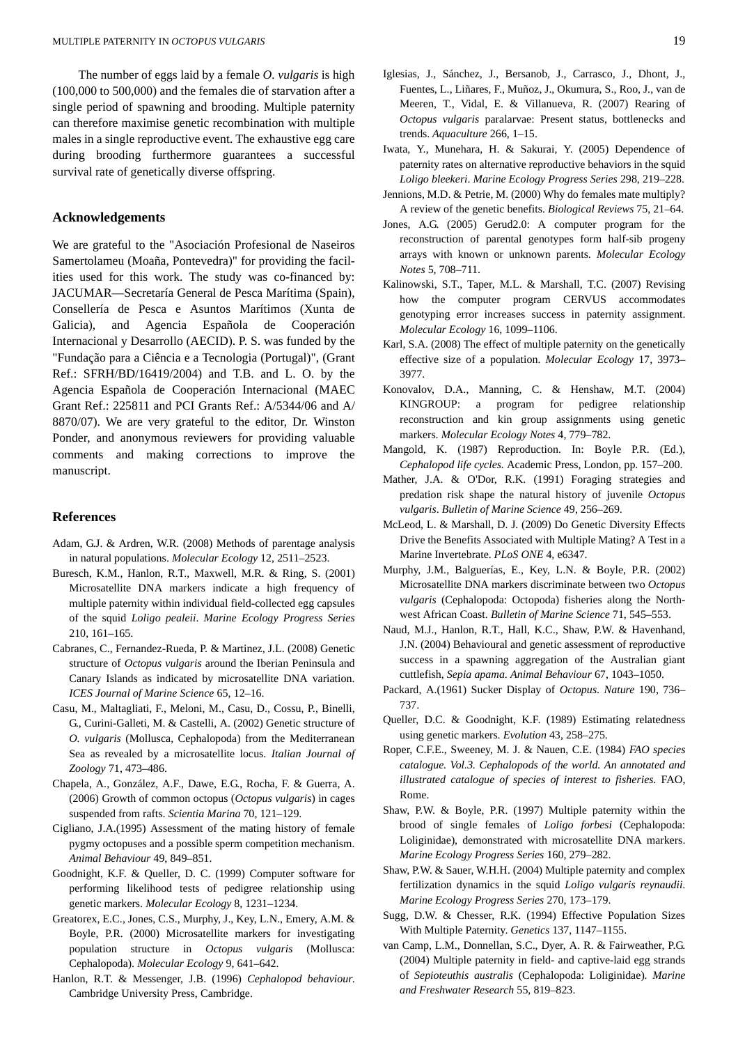The number of eggs laid by a female *O. vulgaris* is high (100,000 to 500,000) and the females die of starvation after a single period of spawning and brooding. Multiple paternity can therefore maximise genetic recombination with multiple males in a single reproductive event. The exhaustive egg care during brooding furthermore guarantees a successful survival rate of genetically diverse offspring.

#### **Acknowledgements**

We are grateful to the "Asociación Profesional de Naseiros Samertolameu (Moaña, Pontevedra)" for providing the facilities used for this work. The study was co-financed by: JACUMAR—Secretaría General de Pesca Marítima (Spain), Consellería de Pesca e Asuntos Marítimos (Xunta de Galicia), and Agencia Española de Cooperación Internacional y Desarrollo (AECID). P. S. was funded by the "Fundação para a Ciência e a Tecnologia (Portugal)", (Grant Ref.: SFRH/BD/16419/2004) and T.B. and L. O. by the Agencia Española de Cooperación Internacional (MAEC Grant Ref.: 225811 and PCI Grants Ref.: A/5344/06 and A/ 8870/07). We are very grateful to the editor, Dr. Winston Ponder, and anonymous reviewers for providing valuable comments and making corrections to improve the manuscript.

#### **References**

- Adam, G.J. & Ardren, W.R. (2008) Methods of parentage analysis in natural populations. *Molecular Ecology* 12, 2511–2523.
- Buresch, K.M., Hanlon, R.T., Maxwell, M.R. & Ring, S. (2001) Microsatellite DNA markers indicate a high frequency of multiple paternity within individual field-collected egg capsules of the squid *Loligo pealeii*. *Marine Ecology Progress Series* 210, 161–165.
- Cabranes, C., Fernandez-Rueda, P. & Martinez, J.L. (2008) Genetic structure of *Octopus vulgaris* around the Iberian Peninsula and Canary Islands as indicated by microsatellite DNA variation. *ICES Journal of Marine Science* 65, 12–16.
- Casu, M., Maltagliati, F., Meloni, M., Casu, D., Cossu, P., Binelli, G., Curini-Galleti, M. & Castelli, A. (2002) Genetic structure of *O. vulgaris* (Mollusca, Cephalopoda) from the Mediterranean Sea as revealed by a microsatellite locus. *Italian Journal of Zoology* 71, 473–486.
- Chapela, A., González, A.F., Dawe, E.G., Rocha, F. & Guerra, A. (2006) Growth of common octopus (*Octopus vulgaris*) in cages suspended from rafts. *Scientia Marina* 70, 121–129.
- Cigliano, J.A.(1995) Assessment of the mating history of female pygmy octopuses and a possible sperm competition mechanism. *Animal Behaviour* 49, 849–851.
- Goodnight, K.F. & Queller, D. C. (1999) Computer software for performing likelihood tests of pedigree relationship using genetic markers. *Molecular Ecology* 8, 1231–1234.
- Greatorex, E.C., Jones, C.S., Murphy, J., Key, L.N., Emery, A.M. & Boyle, P.R. (2000) Microsatellite markers for investigating population structure in *Octopus vulgaris* (Mollusca: Cephalopoda). *Molecular Ecology* 9, 641–642.
- Hanlon, R.T. & Messenger, J.B. (1996) *Cephalopod behaviour*. Cambridge University Press, Cambridge.
- Iglesias, J., Sánchez, J., Bersanob, J., Carrasco, J., Dhont, J., Fuentes, L., Liñares, F., Muñoz, J., Okumura, S., Roo, J., van de Meeren, T., Vidal, E. & Villanueva, R. (2007) Rearing of *Octopus vulgaris* paralarvae: Present status, bottlenecks and trends. *Aquaculture* 266, 1–15.
- Iwata, Y., Munehara, H. & Sakurai, Y. (2005) Dependence of paternity rates on alternative reproductive behaviors in the squid *Loligo bleekeri*. *Marine Ecology Progress Series* 298, 219–228.
- Jennions, M.D. & Petrie, M. (2000) Why do females mate multiply? A review of the genetic benefits. *Biological Reviews* 75, 21–64.
- Jones, A.G. (2005) Gerud2.0: A computer program for the reconstruction of parental genotypes form half-sib progeny arrays with known or unknown parents. *Molecular Ecology Notes* 5, 708–711.
- Kalinowski, S.T., Taper, M.L. & Marshall, T.C. (2007) Revising how the computer program CERVUS accommodates genotyping error increases success in paternity assignment. *Molecular Ecology* 16, 1099–1106.
- Karl, S.A. (2008) The effect of multiple paternity on the genetically effective size of a population. *Molecular Ecology* 17, 3973– 3977.
- Konovalov, D.A., Manning, C. & Henshaw, M.T. (2004) KINGROUP: a program for pedigree relationship reconstruction and kin group assignments using genetic markers. *Molecular Ecology Notes* 4, 779–782.
- Mangold, K. (1987) Reproduction. In: Boyle P.R. (Ed.), *Cephalopod life cycles.* Academic Press, London, pp. 157–200.
- Mather, J.A. & O'Dor, R.K. (1991) Foraging strategies and predation risk shape the natural history of juvenile *Octopus vulgaris*. *Bulletin of Marine Science* 49, 256–269.
- McLeod, L. & Marshall, D. J. (2009) Do Genetic Diversity Effects Drive the Benefits Associated with Multiple Mating? A Test in a Marine Invertebrate. *PLoS ONE* 4, e6347.
- Murphy, J.M., Balguerías, E., Key, L.N. & Boyle, P.R. (2002) Microsatellite DNA markers discriminate between two *Octopus vulgaris* (Cephalopoda: Octopoda) fisheries along the Northwest African Coast. *Bulletin of Marine Science* 71, 545–553.
- Naud, M.J., Hanlon, R.T., Hall, K.C., Shaw, P.W. & Havenhand, J.N. (2004) Behavioural and genetic assessment of reproductive success in a spawning aggregation of the Australian giant cuttlefish, *Sepia apama*. *Animal Behaviour* 67, 1043–1050.
- Packard, A.(1961) Sucker Display of *Octopus*. *Nature* 190, 736– 737.
- Queller, D.C. & Goodnight, K.F. (1989) Estimating relatedness using genetic markers. *Evolution* 43, 258–275.
- Roper, C.F.E., Sweeney, M. J. & Nauen, C.E. (1984) *FAO species catalogue. Vol.3. Cephalopods of the world. An annotated and illustrated catalogue of species of interest to fisheries*. FAO, Rome.
- Shaw, P.W. & Boyle, P.R. (1997) Multiple paternity within the brood of single females of *Loligo forbesi* (Cephalopoda: Loliginidae), demonstrated with microsatellite DNA markers. *Marine Ecology Progress Series* 160, 279–282.
- Shaw, P.W. & Sauer, W.H.H. (2004) Multiple paternity and complex fertilization dynamics in the squid *Loligo vulgaris reynaudii*. *Marine Ecology Progress Series* 270, 173–179.
- Sugg, D.W. & Chesser, R.K. (1994) Effective Population Sizes With Multiple Paternity. *Genetics* 137, 1147–1155.
- van Camp, L.M., Donnellan, S.C., Dyer, A. R. & Fairweather, P.G. (2004) Multiple paternity in field- and captive-laid egg strands of *Sepioteuthis australis* (Cephalopoda: Loliginidae). *Marine and Freshwater Research* 55, 819–823.